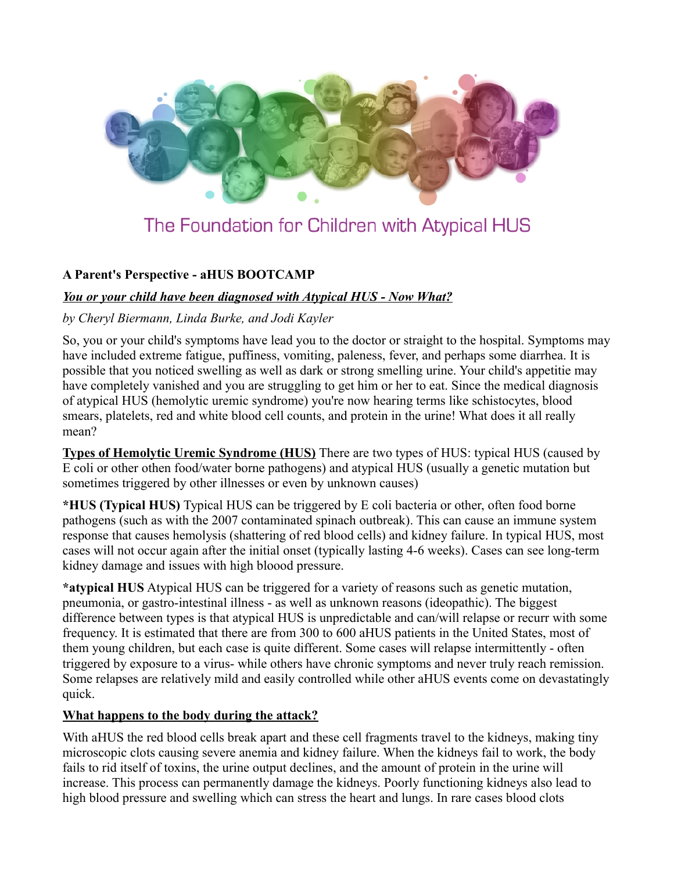

# **A Parent's Perspective - aHUS BOOTCAMP**

### *You or your child have been diagnosed with Atypical HUS - Now What?*

### *by Cheryl Biermann, Linda Burke, and Jodi Kayler*

So, you or your child's symptoms have lead you to the doctor or straight to the hospital. Symptoms may have included extreme fatigue, puffiness, vomiting, paleness, fever, and perhaps some diarrhea. It is possible that you noticed swelling as well as dark or strong smelling urine. Your child's appetitie may have completely vanished and you are struggling to get him or her to eat. Since the medical diagnosis of atypical HUS (hemolytic uremic syndrome) you're now hearing terms like schistocytes, blood smears, platelets, red and white blood cell counts, and protein in the urine! What does it all really mean?

**Types of Hemolytic Uremic Syndrome (HUS)** There are two types of HUS: typical HUS (caused by E coli or other othen food/water borne pathogens) and atypical HUS (usually a genetic mutation but sometimes triggered by other illnesses or even by unknown causes)

**\*HUS (Typical HUS)** Typical HUS can be triggered by E coli bacteria or other, often food borne pathogens (such as with the 2007 contaminated spinach outbreak). This can cause an immune system response that causes hemolysis (shattering of red blood cells) and kidney failure. In typical HUS, most cases will not occur again after the initial onset (typically lasting 4-6 weeks). Cases can see long-term kidney damage and issues with high bloood pressure.

**\*atypical HUS** Atypical HUS can be triggered for a variety of reasons such as genetic mutation, pneumonia, or gastro-intestinal illness - as well as unknown reasons (ideopathic). The biggest difference between types is that atypical HUS is unpredictable and can/will relapse or recurr with some frequency. It is estimated that there are from 300 to 600 aHUS patients in the United States, most of them young children, but each case is quite different. Some cases will relapse intermittently - often triggered by exposure to a virus- while others have chronic symptoms and never truly reach remission. Some relapses are relatively mild and easily controlled while other aHUS events come on devastatingly quick.

### **What happens to the body during the attack?**

With aHUS the red blood cells break apart and these cell fragments travel to the kidneys, making tiny microscopic clots causing severe anemia and kidney failure. When the kidneys fail to work, the body fails to rid itself of toxins, the urine output declines, and the amount of protein in the urine will increase. This process can permanently damage the kidneys. Poorly functioning kidneys also lead to high blood pressure and swelling which can stress the heart and lungs. In rare cases blood clots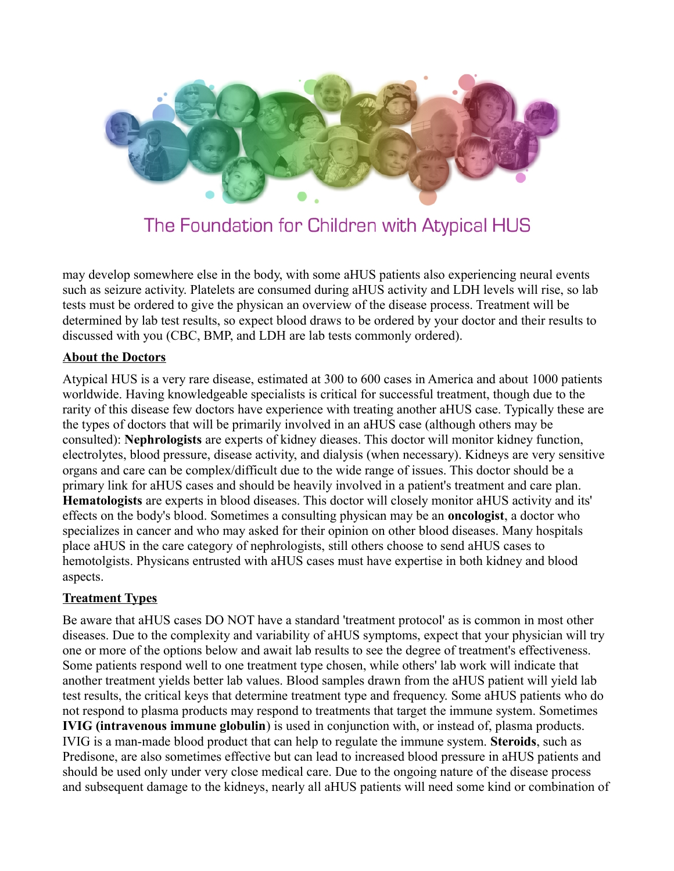

may develop somewhere else in the body, with some aHUS patients also experiencing neural events such as seizure activity. Platelets are consumed during aHUS activity and LDH levels will rise, so lab tests must be ordered to give the physican an overview of the disease process. Treatment will be determined by lab test results, so expect blood draws to be ordered by your doctor and their results to discussed with you (CBC, BMP, and LDH are lab tests commonly ordered).

### **About the Doctors**

Atypical HUS is a very rare disease, estimated at 300 to 600 cases in America and about 1000 patients worldwide. Having knowledgeable specialists is critical for successful treatment, though due to the rarity of this disease few doctors have experience with treating another aHUS case. Typically these are the types of doctors that will be primarily involved in an aHUS case (although others may be consulted): **Nephrologists** are experts of kidney dieases. This doctor will monitor kidney function, electrolytes, blood pressure, disease activity, and dialysis (when necessary). Kidneys are very sensitive organs and care can be complex/difficult due to the wide range of issues. This doctor should be a primary link for aHUS cases and should be heavily involved in a patient's treatment and care plan. **Hematologists** are experts in blood diseases. This doctor will closely monitor aHUS activity and its' effects on the body's blood. Sometimes a consulting physican may be an **oncologist**, a doctor who specializes in cancer and who may asked for their opinion on other blood diseases. Many hospitals place aHUS in the care category of nephrologists, still others choose to send aHUS cases to hemotolgists. Physicans entrusted with aHUS cases must have expertise in both kidney and blood aspects.

### **Treatment Types**

Be aware that aHUS cases DO NOT have a standard 'treatment protocol' as is common in most other diseases. Due to the complexity and variability of aHUS symptoms, expect that your physician will try one or more of the options below and await lab results to see the degree of treatment's effectiveness. Some patients respond well to one treatment type chosen, while others' lab work will indicate that another treatment yields better lab values. Blood samples drawn from the aHUS patient will yield lab test results, the critical keys that determine treatment type and frequency. Some aHUS patients who do not respond to plasma products may respond to treatments that target the immune system. Sometimes **IVIG (intravenous immune globulin**) is used in conjunction with, or instead of, plasma products. IVIG is a man-made blood product that can help to regulate the immune system. **Steroids**, such as Predisone, are also sometimes effective but can lead to increased blood pressure in aHUS patients and should be used only under very close medical care. Due to the ongoing nature of the disease process and subsequent damage to the kidneys, nearly all aHUS patients will need some kind or combination of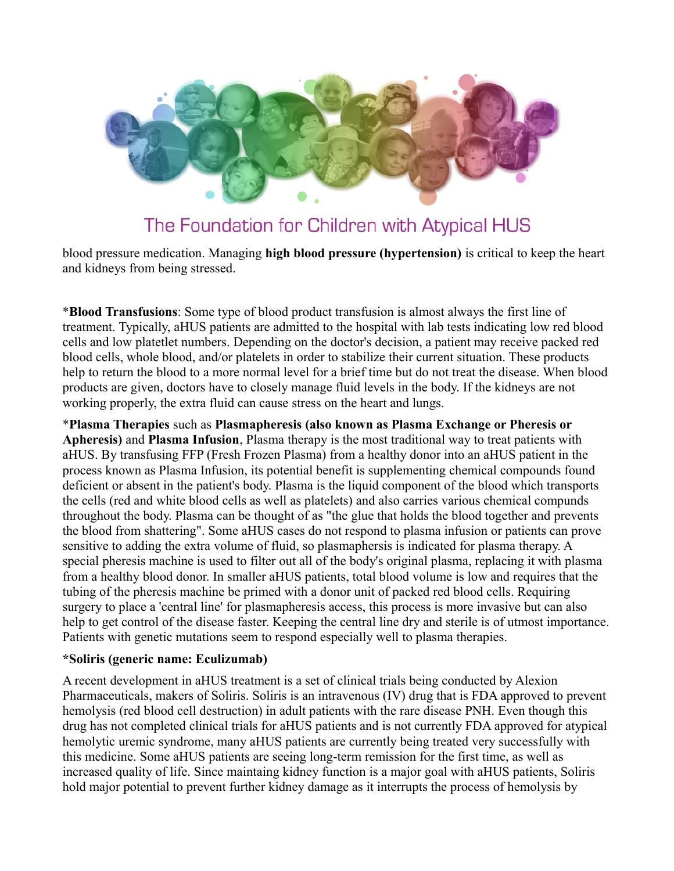

blood pressure medication. Managing **high blood pressure (hypertension)** is critical to keep the heart and kidneys from being stressed.

\***Blood Transfusions**: Some type of blood product transfusion is almost always the first line of treatment. Typically, aHUS patients are admitted to the hospital with lab tests indicating low red blood cells and low platetlet numbers. Depending on the doctor's decision, a patient may receive packed red blood cells, whole blood, and/or platelets in order to stabilize their current situation. These products help to return the blood to a more normal level for a brief time but do not treat the disease. When blood products are given, doctors have to closely manage fluid levels in the body. If the kidneys are not working properly, the extra fluid can cause stress on the heart and lungs.

\***Plasma Therapies** such as **Plasmapheresis (also known as Plasma Exchange or Pheresis or Apheresis)** and **Plasma Infusion**, Plasma therapy is the most traditional way to treat patients with aHUS. By transfusing FFP (Fresh Frozen Plasma) from a healthy donor into an aHUS patient in the process known as Plasma Infusion, its potential benefit is supplementing chemical compounds found deficient or absent in the patient's body. Plasma is the liquid component of the blood which transports the cells (red and white blood cells as well as platelets) and also carries various chemical compunds throughout the body. Plasma can be thought of as "the glue that holds the blood together and prevents the blood from shattering". Some aHUS cases do not respond to plasma infusion or patients can prove sensitive to adding the extra volume of fluid, so plasmaphersis is indicated for plasma therapy. A special pheresis machine is used to filter out all of the body's original plasma, replacing it with plasma from a healthy blood donor. In smaller aHUS patients, total blood volume is low and requires that the tubing of the pheresis machine be primed with a donor unit of packed red blood cells. Requiring surgery to place a 'central line' for plasmapheresis access, this process is more invasive but can also help to get control of the disease faster. Keeping the central line dry and sterile is of utmost importance. Patients with genetic mutations seem to respond especially well to plasma therapies.

#### **\*Soliris (generic name: Eculizumab)**

A recent development in aHUS treatment is a set of clinical trials being conducted by Alexion Pharmaceuticals, makers of Soliris. Soliris is an intravenous (IV) drug that is FDA approved to prevent hemolysis (red blood cell destruction) in adult patients with the rare disease PNH. Even though this drug has not completed clinical trials for aHUS patients and is not currently FDA approved for atypical hemolytic uremic syndrome, many aHUS patients are currently being treated very successfully with this medicine. Some aHUS patients are seeing long-term remission for the first time, as well as increased quality of life. Since maintaing kidney function is a major goal with aHUS patients, Soliris hold major potential to prevent further kidney damage as it interrupts the process of hemolysis by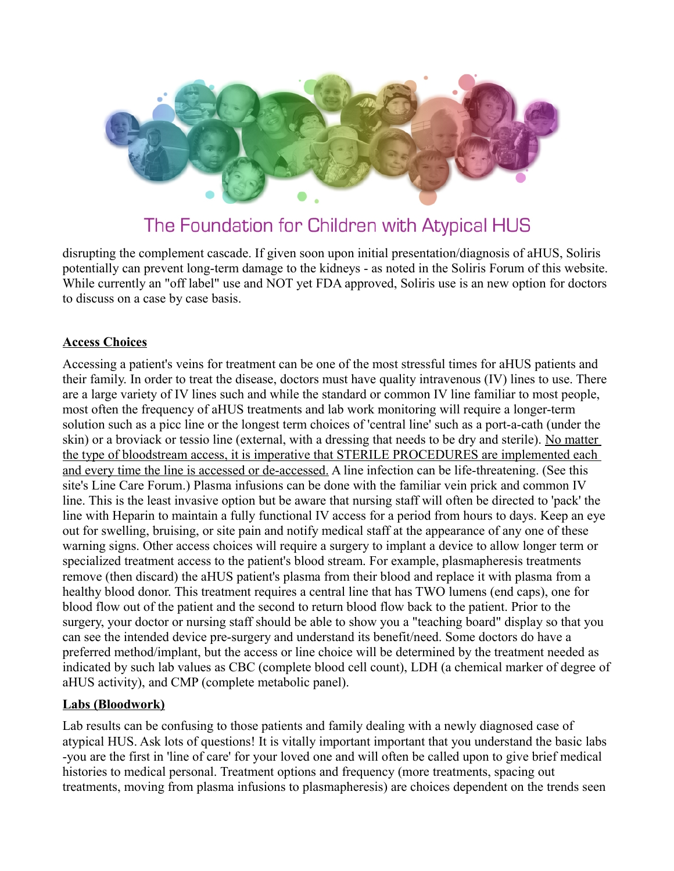

disrupting the complement cascade. If given soon upon initial presentation/diagnosis of aHUS, Soliris potentially can prevent long-term damage to the kidneys - as noted in the Soliris Forum of this website. While currently an "off label" use and NOT yet FDA approved, Soliris use is an new option for doctors to discuss on a case by case basis.

### **Access Choices**

Accessing a patient's veins for treatment can be one of the most stressful times for aHUS patients and their family. In order to treat the disease, doctors must have quality intravenous (IV) lines to use. There are a large variety of IV lines such and while the standard or common IV line familiar to most people, most often the frequency of aHUS treatments and lab work monitoring will require a longer-term solution such as a picc line or the longest term choices of 'central line' such as a port-a-cath (under the skin) or a broviack or tessio line (external, with a dressing that needs to be dry and sterile). No matter the type of bloodstream access, it is imperative that STERILE PROCEDURES are implemented each and every time the line is accessed or de-accessed. A line infection can be life-threatening. (See this site's Line Care Forum.) Plasma infusions can be done with the familiar vein prick and common IV line. This is the least invasive option but be aware that nursing staff will often be directed to 'pack' the line with Heparin to maintain a fully functional IV access for a period from hours to days. Keep an eye out for swelling, bruising, or site pain and notify medical staff at the appearance of any one of these warning signs. Other access choices will require a surgery to implant a device to allow longer term or specialized treatment access to the patient's blood stream. For example, plasmapheresis treatments remove (then discard) the aHUS patient's plasma from their blood and replace it with plasma from a healthy blood donor. This treatment requires a central line that has TWO lumens (end caps), one for blood flow out of the patient and the second to return blood flow back to the patient. Prior to the surgery, your doctor or nursing staff should be able to show you a "teaching board" display so that you can see the intended device pre-surgery and understand its benefit/need. Some doctors do have a preferred method/implant, but the access or line choice will be determined by the treatment needed as indicated by such lab values as CBC (complete blood cell count), LDH (a chemical marker of degree of aHUS activity), and CMP (complete metabolic panel).

## **Labs (Bloodwork)**

Lab results can be confusing to those patients and family dealing with a newly diagnosed case of atypical HUS. Ask lots of questions! It is vitally important important that you understand the basic labs -you are the first in 'line of care' for your loved one and will often be called upon to give brief medical histories to medical personal. Treatment options and frequency (more treatments, spacing out treatments, moving from plasma infusions to plasmapheresis) are choices dependent on the trends seen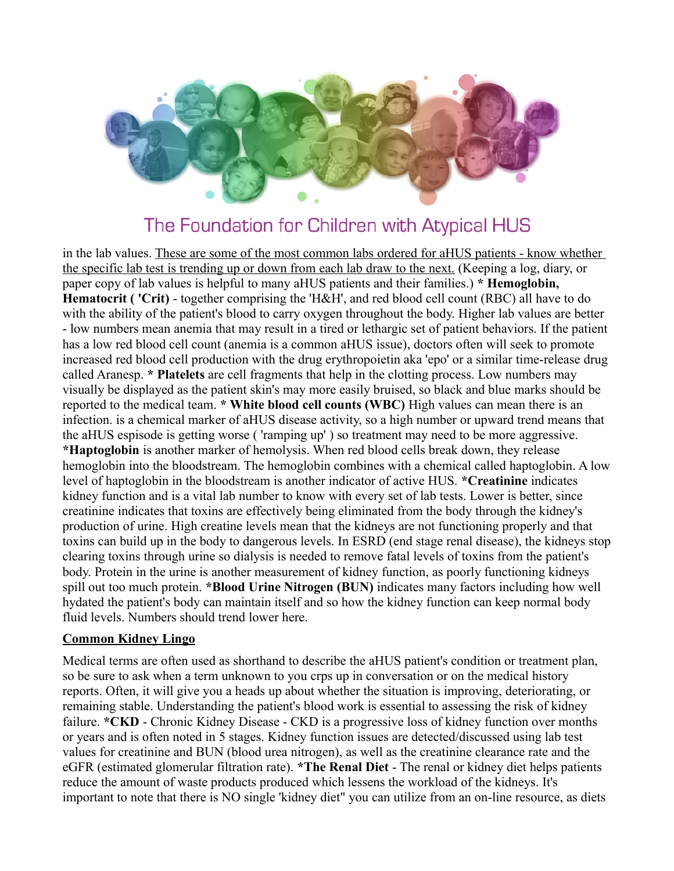

in the lab values. These are some of the most common labs ordered for aHUS patients - know whether the specific lab test is trending up or down from each lab draw to the next. (Keeping a log, diary, or paper copy of lab values is helpful to many aHUS patients and their families.) **\* Hemoglobin, Hematocrit ( 'Crit)** - together comprising the 'H&H', and red blood cell count (RBC) all have to do with the ability of the patient's blood to carry oxygen throughout the body. Higher lab values are better - low numbers mean anemia that may result in a tired or lethargic set of patient behaviors. If the patient has a low red blood cell count (anemia is a common aHUS issue), doctors often will seek to promote increased red blood cell production with the drug erythropoietin aka 'epo' or a similar time-release drug called Aranesp. **\* Platelets** are cell fragments that help in the clotting process. Low numbers may visually be displayed as the patient skin's may more easily bruised, so black and blue marks should be reported to the medical team. **\* White blood cell counts (WBC)** High values can mean there is an infection. is a chemical marker of aHUS disease activity, so a high number or upward trend means that the aHUS espisode is getting worse ( 'ramping up' ) so treatment may need to be more aggressive. **\*Haptoglobin** is another marker of hemolysis. When red blood cells break down, they release hemoglobin into the bloodstream. The hemoglobin combines with a chemical called haptoglobin. A low level of haptoglobin in the bloodstream is another indicator of active HUS. **\*Creatinine** indicates kidney function and is a vital lab number to know with every set of lab tests. Lower is better, since creatinine indicates that toxins are effectively being eliminated from the body through the kidney's production of urine. High creatine levels mean that the kidneys are not functioning properly and that toxins can build up in the body to dangerous levels. In ESRD (end stage renal disease), the kidneys stop clearing toxins through urine so dialysis is needed to remove fatal levels of toxins from the patient's body. Protein in the urine is another measurement of kidney function, as poorly functioning kidneys spill out too much protein. **\*Blood Urine Nitrogen (BUN)** indicates many factors including how well hydated the patient's body can maintain itself and so how the kidney function can keep normal body fluid levels. Numbers should trend lower here.

#### **Common Kidney Lingo**

Medical terms are often used as shorthand to describe the aHUS patient's condition or treatment plan, so be sure to ask when a term unknown to you crps up in conversation or on the medical history reports. Often, it will give you a heads up about whether the situation is improving, deteriorating, or remaining stable. Understanding the patient's blood work is essential to assessing the risk of kidney failure. **\*CKD** - Chronic Kidney Disease - CKD is a progressive loss of kidney function over months or years and is often noted in 5 stages. Kidney function issues are detected/discussed using lab test values for creatinine and BUN (blood urea nitrogen), as well as the creatinine clearance rate and the eGFR (estimated glomerular filtration rate). **\*The Renal Diet** - The renal or kidney diet helps patients reduce the amount of waste products produced which lessens the workload of the kidneys. It's important to note that there is NO single 'kidney diet" you can utilize from an on-line resource, as diets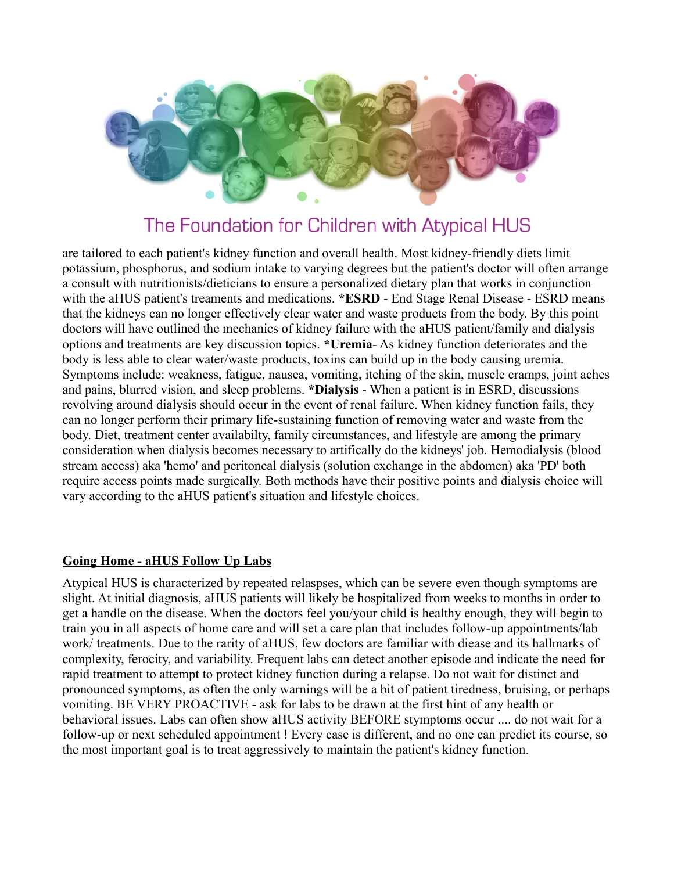

are tailored to each patient's kidney function and overall health. Most kidney-friendly diets limit potassium, phosphorus, and sodium intake to varying degrees but the patient's doctor will often arrange a consult with nutritionists/dieticians to ensure a personalized dietary plan that works in conjunction with the aHUS patient's treaments and medications. \***ESRD** - End Stage Renal Disease - ESRD means that the kidneys can no longer effectively clear water and waste products from the body. By this point doctors will have outlined the mechanics of kidney failure with the aHUS patient/family and dialysis options and treatments are key discussion topics. **\*Uremia**- As kidney function deteriorates and the body is less able to clear water/waste products, toxins can build up in the body causing uremia. Symptoms include: weakness, fatigue, nausea, vomiting, itching of the skin, muscle cramps, joint aches and pains, blurred vision, and sleep problems. **\*Dialysis** - When a patient is in ESRD, discussions revolving around dialysis should occur in the event of renal failure. When kidney function fails, they can no longer perform their primary life-sustaining function of removing water and waste from the body. Diet, treatment center availabilty, family circumstances, and lifestyle are among the primary consideration when dialysis becomes necessary to artifically do the kidneys' job. Hemodialysis (blood stream access) aka 'hemo' and peritoneal dialysis (solution exchange in the abdomen) aka 'PD' both require access points made surgically. Both methods have their positive points and dialysis choice will vary according to the aHUS patient's situation and lifestyle choices.

### **Going Home - aHUS Follow Up Labs**

Atypical HUS is characterized by repeated relaspses, which can be severe even though symptoms are slight. At initial diagnosis, aHUS patients will likely be hospitalized from weeks to months in order to get a handle on the disease. When the doctors feel you/your child is healthy enough, they will begin to train you in all aspects of home care and will set a care plan that includes follow-up appointments/lab work/ treatments. Due to the rarity of aHUS, few doctors are familiar with diease and its hallmarks of complexity, ferocity, and variability. Frequent labs can detect another episode and indicate the need for rapid treatment to attempt to protect kidney function during a relapse. Do not wait for distinct and pronounced symptoms, as often the only warnings will be a bit of patient tiredness, bruising, or perhaps vomiting. BE VERY PROACTIVE - ask for labs to be drawn at the first hint of any health or behavioral issues. Labs can often show aHUS activity BEFORE stymptoms occur .... do not wait for a follow-up or next scheduled appointment ! Every case is different, and no one can predict its course, so the most important goal is to treat aggressively to maintain the patient's kidney function.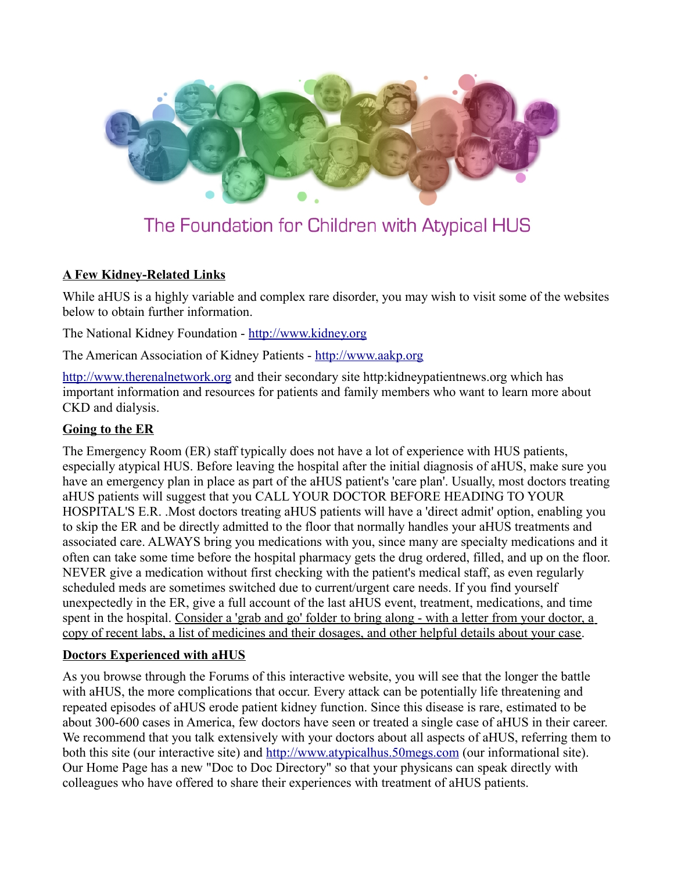

## **A Few Kidney-Related Links**

While aHUS is a highly variable and complex rare disorder, you may wish to visit some of the websites below to obtain further information.

The National Kidney Foundation - [http://www.kidney.org](http://www.kidney.org/)

The American Association of Kidney Patients - [http://www.aakp.org](http://www.aakp.org/)

[http://www.therenalnetwork.org](http://www.therenalnetwork.org/) and their secondary site http:kidneypatientnews.org which has important information and resources for patients and family members who want to learn more about CKD and dialysis.

## **Going to the ER**

The Emergency Room (ER) staff typically does not have a lot of experience with HUS patients, especially atypical HUS. Before leaving the hospital after the initial diagnosis of aHUS, make sure you have an emergency plan in place as part of the aHUS patient's 'care plan'. Usually, most doctors treating aHUS patients will suggest that you CALL YOUR DOCTOR BEFORE HEADING TO YOUR HOSPITAL'S E.R. .Most doctors treating aHUS patients will have a 'direct admit' option, enabling you to skip the ER and be directly admitted to the floor that normally handles your aHUS treatments and associated care. ALWAYS bring you medications with you, since many are specialty medications and it often can take some time before the hospital pharmacy gets the drug ordered, filled, and up on the floor. NEVER give a medication without first checking with the patient's medical staff, as even regularly scheduled meds are sometimes switched due to current/urgent care needs. If you find yourself unexpectedly in the ER, give a full account of the last aHUS event, treatment, medications, and time spent in the hospital. Consider a 'grab and go' folder to bring along - with a letter from your doctor, a copy of recent labs, a list of medicines and their dosages, and other helpful details about your case.

## **Doctors Experienced with aHUS**

As you browse through the Forums of this interactive website, you will see that the longer the battle with aHUS, the more complications that occur. Every attack can be potentially life threatening and repeated episodes of aHUS erode patient kidney function. Since this disease is rare, estimated to be about 300-600 cases in America, few doctors have seen or treated a single case of aHUS in their career. We recommend that you talk extensively with your doctors about all aspects of aHUS, referring them to both this site (our interactive site) and [http://www.atypicalhus.50megs.com](http://www.atypicalhus.50megs.com/) (our informational site). Our Home Page has a new "Doc to Doc Directory" so that your physicans can speak directly with colleagues who have offered to share their experiences with treatment of aHUS patients.